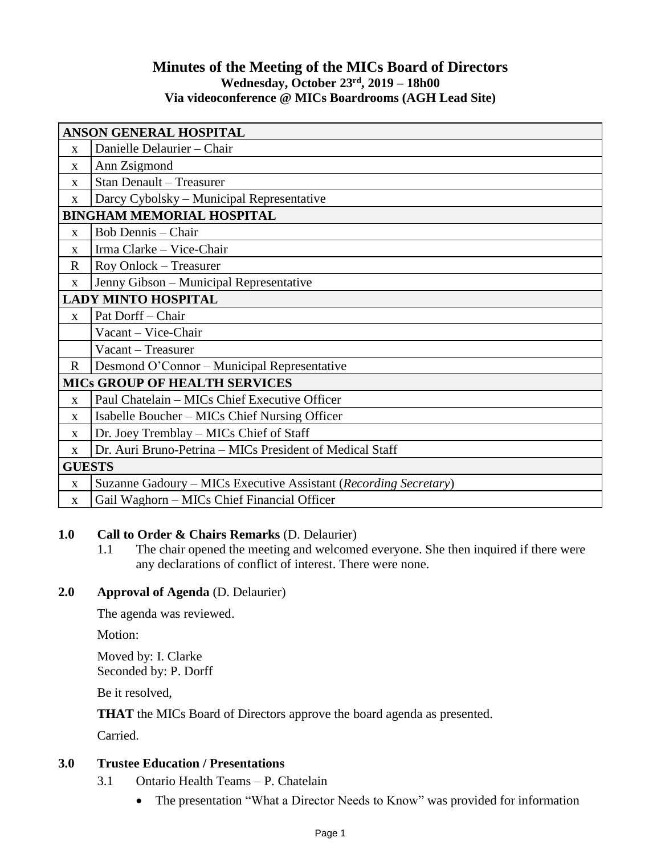# **Minutes of the Meeting of the MICs Board of Directors Wednesday, October 23 rd , 2019 – 18h00 Via videoconference @ MICs Boardrooms (AGH Lead Site)**

| ANSON GENERAL HOSPITAL               |                                                                  |
|--------------------------------------|------------------------------------------------------------------|
| X                                    | Danielle Delaurier - Chair                                       |
| X                                    | Ann Zsigmond                                                     |
| X                                    | <b>Stan Denault - Treasurer</b>                                  |
| X                                    | Darcy Cybolsky – Municipal Representative                        |
| <b>BINGHAM MEMORIAL HOSPITAL</b>     |                                                                  |
| $\mathbf{x}$                         | <b>Bob Dennis</b> – Chair                                        |
| $\mathbf{X}$                         | Irma Clarke - Vice-Chair                                         |
| $\mathbf R$                          | Roy Onlock – Treasurer                                           |
| X                                    | Jenny Gibson - Municipal Representative                          |
| <b>LADY MINTO HOSPITAL</b>           |                                                                  |
| $\mathbf X$                          | Pat Dorff - Chair                                                |
|                                      | Vacant - Vice-Chair                                              |
|                                      | Vacant - Treasurer                                               |
| $\mathbf R$                          | Desmond O'Connor – Municipal Representative                      |
| <b>MICS GROUP OF HEALTH SERVICES</b> |                                                                  |
| X                                    | Paul Chatelain - MICs Chief Executive Officer                    |
| X                                    | Isabelle Boucher – MICs Chief Nursing Officer                    |
| X                                    | Dr. Joey Tremblay – MICs Chief of Staff                          |
| X                                    | Dr. Auri Bruno-Petrina – MICs President of Medical Staff         |
| <b>GUESTS</b>                        |                                                                  |
| $\mathbf{x}$                         | Suzanne Gadoury – MICs Executive Assistant (Recording Secretary) |
| $\mathbf{X}$                         | Gail Waghorn – MICs Chief Financial Officer                      |

### **1.0 Call to Order & Chairs Remarks** (D. Delaurier)

1.1 The chair opened the meeting and welcomed everyone. She then inquired if there were any declarations of conflict of interest. There were none.

### **2.0 Approval of Agenda** (D. Delaurier)

The agenda was reviewed.

Motion:

Moved by: I. Clarke Seconded by: P. Dorff

Be it resolved,

**THAT** the MICs Board of Directors approve the board agenda as presented.

Carried.

### **3.0 Trustee Education / Presentations**

- 3.1 Ontario Health Teams P. Chatelain
	- The presentation "What a Director Needs to Know" was provided for information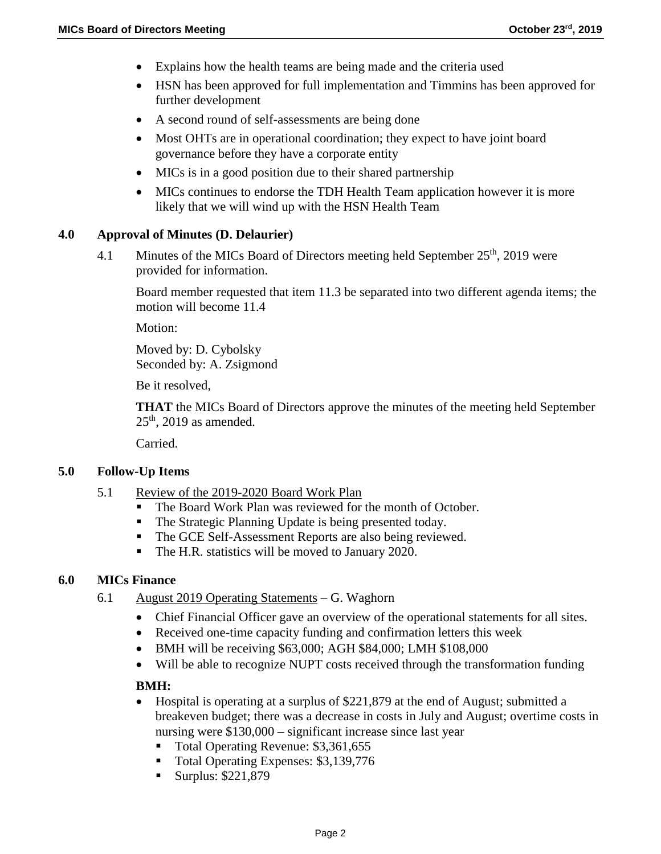- Explains how the health teams are being made and the criteria used
- HSN has been approved for full implementation and Timmins has been approved for further development
- A second round of self-assessments are being done
- Most OHTs are in operational coordination; they expect to have joint board governance before they have a corporate entity
- MICs is in a good position due to their shared partnership
- MICs continues to endorse the TDH Health Team application however it is more likely that we will wind up with the HSN Health Team

### **4.0 Approval of Minutes (D. Delaurier)**

4.1 Minutes of the MICs Board of Directors meeting held September  $25<sup>th</sup>$ , 2019 were provided for information.

Board member requested that item 11.3 be separated into two different agenda items; the motion will become 11.4

Motion:

Moved by: D. Cybolsky Seconded by: A. Zsigmond

Be it resolved,

**THAT** the MICs Board of Directors approve the minutes of the meeting held September  $25<sup>th</sup>$ , 2019 as amended.

Carried.

### **5.0 Follow-Up Items**

- 5.1 Review of the 2019-2020 Board Work Plan
	- The Board Work Plan was reviewed for the month of October.
	- The Strategic Planning Update is being presented today.
	- The GCE Self-Assessment Reports are also being reviewed.
	- The H.R. statistics will be moved to January 2020.

### **6.0 MICs Finance**

- 6.1 August 2019 Operating Statements G. Waghorn
	- Chief Financial Officer gave an overview of the operational statements for all sites.
	- Received one-time capacity funding and confirmation letters this week
	- BMH will be receiving \$63,000; AGH \$84,000; LMH \$108,000
	- Will be able to recognize NUPT costs received through the transformation funding

### **BMH:**

- Hospital is operating at a surplus of \$221,879 at the end of August; submitted a breakeven budget; there was a decrease in costs in July and August; overtime costs in nursing were \$130,000 – significant increase since last year
	- Total Operating Revenue: \$3,361,655
	- Total Operating Expenses: \$3,139,776
	- Surplus:  $$221,879$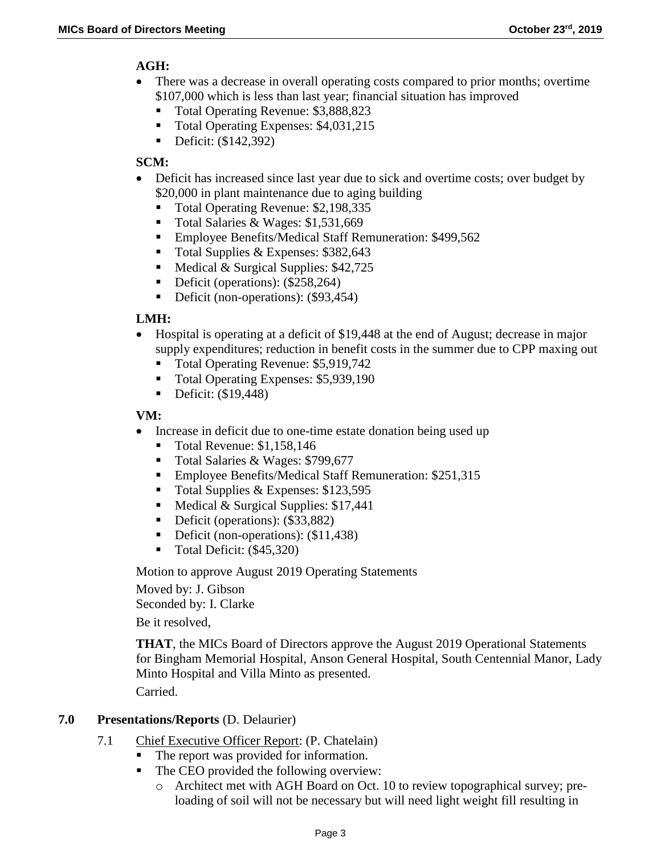# **AGH:**

- There was a decrease in overall operating costs compared to prior months; overtime \$107,000 which is less than last year; financial situation has improved
	- Total Operating Revenue: \$3,888,823
	- Total Operating Expenses: \$4,031,215
	- Deficit: (\$142,392)

# **SCM:**

- Deficit has increased since last year due to sick and overtime costs; over budget by \$20,000 in plant maintenance due to aging building
	- Total Operating Revenue: \$2,198,335
	- Total Salaries & Wages: \$1,531,669
	- **Employee Benefits/Medical Staff Remuneration: \$499,562**
	- Total Supplies & Expenses:  $$382,643$
	- Medical & Surgical Supplies:  $$42,725$
	- Deficit (operations): (\$258,264)
	- Deficit (non-operations): (\$93,454)

# **LMH:**

- Hospital is operating at a deficit of \$19,448 at the end of August; decrease in major supply expenditures; reduction in benefit costs in the summer due to CPP maxing out
	- Total Operating Revenue: \$5,919,742
	- Total Operating Expenses: \$5,939,190
	- $\blacksquare$  Deficit: (\$19,448)

# **VM:**

- Increase in deficit due to one-time estate donation being used up
	- Total Revenue: \$1,158,146
	- Total Salaries & Wages: \$799,677
	- Employee Benefits/Medical Staff Remuneration: \$251,315
	- $\blacksquare$  Total Supplies & Expenses: \$123,595
	- Medical & Surgical Supplies:  $$17,441$
	- Deficit (operations): (\$33,882)
	- Deficit (non-operations): (\$11,438)
	- $\blacksquare$  Total Deficit: (\$45,320)

Motion to approve August 2019 Operating Statements

Moved by: J. Gibson

Seconded by: I. Clarke

Be it resolved,

**THAT**, the MICs Board of Directors approve the August 2019 Operational Statements for Bingham Memorial Hospital, Anson General Hospital, South Centennial Manor, Lady Minto Hospital and Villa Minto as presented.

Carried.

# **7.0 Presentations/Reports** (D. Delaurier)

- 7.1 Chief Executive Officer Report: (P. Chatelain)
	- The report was provided for information.
	- The CEO provided the following overview:
		- o Architect met with AGH Board on Oct. 10 to review topographical survey; preloading of soil will not be necessary but will need light weight fill resulting in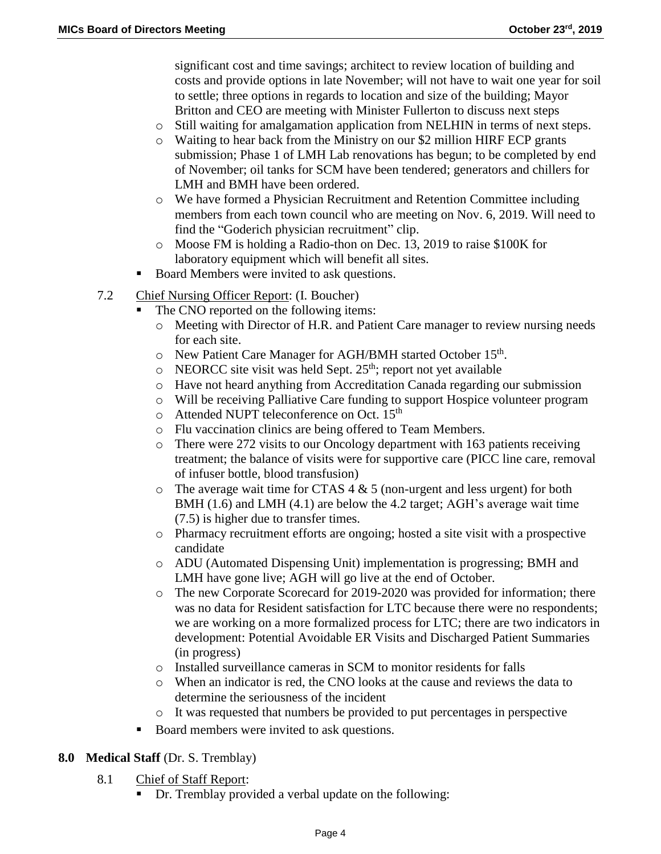significant cost and time savings; architect to review location of building and costs and provide options in late November; will not have to wait one year for soil to settle; three options in regards to location and size of the building; Mayor Britton and CEO are meeting with Minister Fullerton to discuss next steps

- o Still waiting for amalgamation application from NELHIN in terms of next steps.
- o Waiting to hear back from the Ministry on our \$2 million HIRF ECP grants submission; Phase 1 of LMH Lab renovations has begun; to be completed by end of November; oil tanks for SCM have been tendered; generators and chillers for LMH and BMH have been ordered.
- o We have formed a Physician Recruitment and Retention Committee including members from each town council who are meeting on Nov. 6, 2019. Will need to find the "Goderich physician recruitment" clip.
- o Moose FM is holding a Radio-thon on Dec. 13, 2019 to raise \$100K for laboratory equipment which will benefit all sites.
- Board Members were invited to ask questions.
- 7.2 Chief Nursing Officer Report: (I. Boucher)
	- The CNO reported on the following items:
		- o Meeting with Director of H.R. and Patient Care manager to review nursing needs for each site.
		- o New Patient Care Manager for AGH/BMH started October 15<sup>th</sup>.
		- $\circ$  NEORCC site visit was held Sept. 25<sup>th</sup>; report not yet available
		- o Have not heard anything from Accreditation Canada regarding our submission
		- o Will be receiving Palliative Care funding to support Hospice volunteer program
		- o Attended NUPT teleconference on Oct. 15<sup>th</sup>
		- o Flu vaccination clinics are being offered to Team Members.
		- o There were 272 visits to our Oncology department with 163 patients receiving treatment; the balance of visits were for supportive care (PICC line care, removal of infuser bottle, blood transfusion)
		- $\circ$  The average wait time for CTAS 4 & 5 (non-urgent and less urgent) for both BMH (1.6) and LMH (4.1) are below the 4.2 target; AGH's average wait time (7.5) is higher due to transfer times.
		- o Pharmacy recruitment efforts are ongoing; hosted a site visit with a prospective candidate
		- o ADU (Automated Dispensing Unit) implementation is progressing; BMH and LMH have gone live; AGH will go live at the end of October.
		- o The new Corporate Scorecard for 2019-2020 was provided for information; there was no data for Resident satisfaction for LTC because there were no respondents; we are working on a more formalized process for LTC; there are two indicators in development: Potential Avoidable ER Visits and Discharged Patient Summaries (in progress)
		- o Installed surveillance cameras in SCM to monitor residents for falls
		- o When an indicator is red, the CNO looks at the cause and reviews the data to determine the seriousness of the incident
		- $\circ$  It was requested that numbers be provided to put percentages in perspective
	- Board members were invited to ask questions.

### **8.0 Medical Staff** (Dr. S. Tremblay)

- 8.1 Chief of Staff Report:
	- Dr. Tremblay provided a verbal update on the following: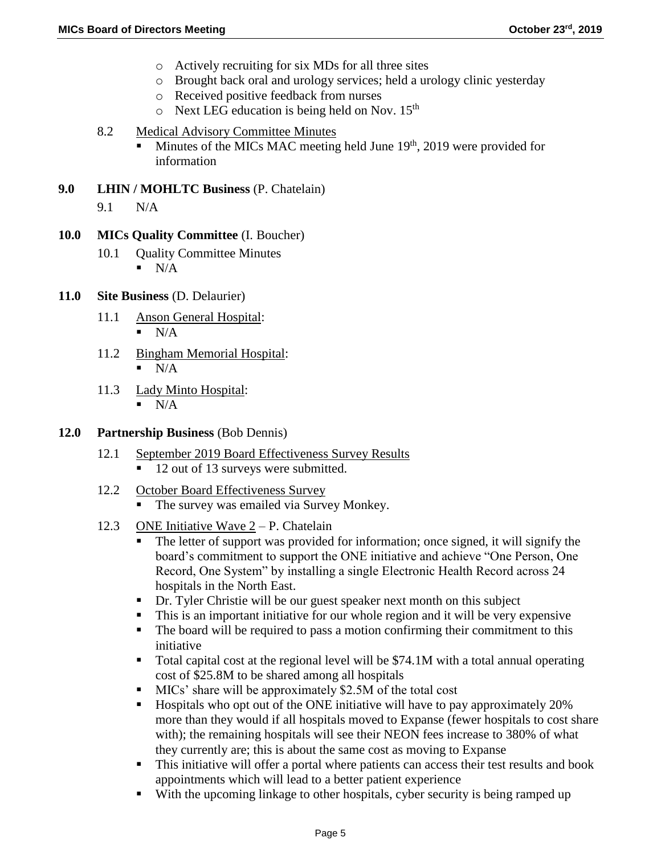- o Actively recruiting for six MDs for all three sites
- o Brought back oral and urology services; held a urology clinic yesterday
- o Received positive feedback from nurses
- $\circ$  Next LEG education is being held on Nov. 15<sup>th</sup>
- 8.2 Medical Advisory Committee Minutes
	- $\blacksquare$  Minutes of the MICs MAC meeting held June 19<sup>th</sup>, 2019 were provided for information
- **9.0 LHIN / MOHLTC Business** (P. Chatelain)
	- 9.1 N/A
- **10.0 MICs Quality Committee** (I. Boucher)
	- 10.1 Ouality Committee Minutes
		- $\blacksquare$  N/A
- **11.0 Site Business** (D. Delaurier)
	- 11.1 Anson General Hospital:  $\blacksquare$  N/A
	- 11.2 Bingham Memorial Hospital:
		- N/A
	- 11.3 Lady Minto Hospital:  $\blacksquare$  N/A
- **12.0 Partnership Business** (Bob Dennis)
	- 12.1 September 2019 Board Effectiveness Survey Results
		- 12 out of 13 surveys were submitted.
	- 12.2 October Board Effectiveness Survey
		- The survey was emailed via Survey Monkey.
	- 12.3 ONE Initiative Wave  $2 P$ . Chatelain
		- The letter of support was provided for information; once signed, it will signify the board's commitment to support the ONE initiative and achieve "One Person, One Record, One System" by installing a single Electronic Health Record across 24 hospitals in the North East.
		- Dr. Tyler Christie will be our guest speaker next month on this subject
		- This is an important initiative for our whole region and it will be very expensive
		- The board will be required to pass a motion confirming their commitment to this initiative
		- Total capital cost at the regional level will be \$74.1M with a total annual operating cost of \$25.8M to be shared among all hospitals
		- MICs' share will be approximately \$2.5M of the total cost
		- Hospitals who opt out of the ONE initiative will have to pay approximately 20% more than they would if all hospitals moved to Expanse (fewer hospitals to cost share with); the remaining hospitals will see their NEON fees increase to 380% of what they currently are; this is about the same cost as moving to Expanse
		- This initiative will offer a portal where patients can access their test results and book appointments which will lead to a better patient experience
		- With the upcoming linkage to other hospitals, cyber security is being ramped up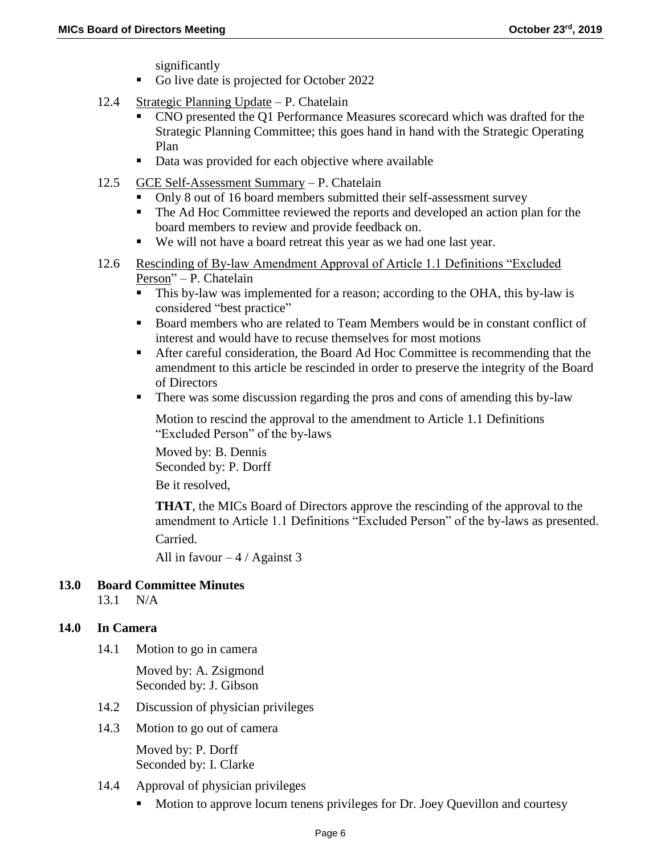significantly

- Go live date is projected for October 2022
- 12.4 Strategic Planning Update P. Chatelain
	- CNO presented the Q1 Performance Measures scorecard which was drafted for the Strategic Planning Committee; this goes hand in hand with the Strategic Operating Plan
	- Data was provided for each objective where available
- 12.5 GCE Self-Assessment Summary P. Chatelain
	- Only 8 out of 16 board members submitted their self-assessment survey
	- The Ad Hoc Committee reviewed the reports and developed an action plan for the board members to review and provide feedback on.
	- We will not have a board retreat this year as we had one last year.
- 12.6 Rescinding of By-law Amendment Approval of Article 1.1 Definitions "Excluded Person" – P. Chatelain
	- This by-law was implemented for a reason; according to the OHA, this by-law is considered "best practice"
	- Board members who are related to Team Members would be in constant conflict of interest and would have to recuse themselves for most motions
	- After careful consideration, the Board Ad Hoc Committee is recommending that the amendment to this article be rescinded in order to preserve the integrity of the Board of Directors
	- There was some discussion regarding the pros and cons of amending this by-law

Motion to rescind the approval to the amendment to Article 1.1 Definitions "Excluded Person" of the by-laws

Moved by: B. Dennis Seconded by: P. Dorff

Be it resolved,

**THAT**, the MICs Board of Directors approve the rescinding of the approval to the amendment to Article 1.1 Definitions "Excluded Person" of the by-laws as presented. Carried.

All in favour  $-4/$  Against 3

# **13.0 Board Committee Minutes**

13.1 N/A

# **14.0 In Camera**

14.1 Motion to go in camera

Moved by: A. Zsigmond Seconded by: J. Gibson

- 14.2 Discussion of physician privileges
- 14.3 Motion to go out of camera

Moved by: P. Dorff Seconded by: I. Clarke

- 14.4 Approval of physician privileges
	- Motion to approve locum tenens privileges for Dr. Joey Quevillon and courtesy